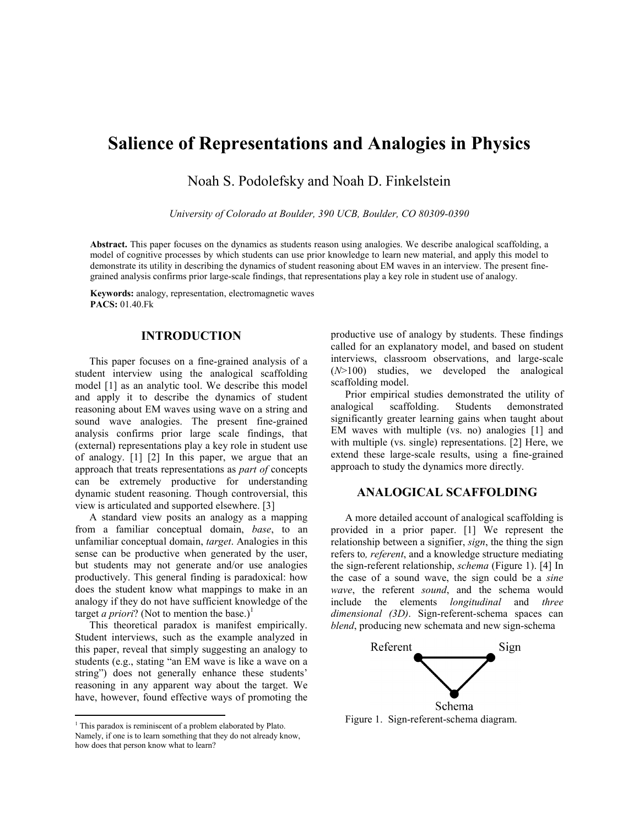# Salience of Representations and Analogies in Physics

Noah S. Podolefsky and Noah D. Finkelstein

University of Colorado at Boulder, 390 UCB, Boulder, CO 80309-0390

Abstract. This paper focuses on the dynamics as students reason using analogies. We describe analogical scaffolding, a model of cognitive processes by which students can use prior knowledge to learn new material, and apply this model to demonstrate its utility in describing the dynamics of student reasoning about EM waves in an interview. The present finegrained analysis confirms prior large-scale findings, that representations play a key role in student use of analogy.

Keywords: analogy, representation, electromagnetic waves PACS: 01.40.Fk

#### INTRODUCTION

This paper focuses on a fine-grained analysis of a student interview using the analogical scaffolding model [1] as an analytic tool. We describe this model and apply it to describe the dynamics of student reasoning about EM waves using wave on a string and sound wave analogies. The present fine-grained analysis confirms prior large scale findings, that (external) representations play a key role in student use of analogy. [1] [2] In this paper, we argue that an approach that treats representations as part of concepts can be extremely productive for understanding dynamic student reasoning. Though controversial, this view is articulated and supported elsewhere. [3]

A standard view posits an analogy as a mapping from a familiar conceptual domain, base, to an unfamiliar conceptual domain, target. Analogies in this sense can be productive when generated by the user, but students may not generate and/or use analogies productively. This general finding is paradoxical: how does the student know what mappings to make in an analogy if they do not have sufficient knowledge of the target *a priori*? (Not to mention the base.)<sup>1</sup>

This theoretical paradox is manifest empirically. Student interviews, such as the example analyzed in this paper, reveal that simply suggesting an analogy to students (e.g., stating "an EM wave is like a wave on a string") does not generally enhance these students' reasoning in any apparent way about the target. We have, however, found effective ways of promoting the

-

productive use of analogy by students. These findings called for an explanatory model, and based on student interviews, classroom observations, and large-scale  $(N>100)$  studies, we developed the analogical scaffolding model.

Prior empirical studies demonstrated the utility of analogical scaffolding. Students demonstrated significantly greater learning gains when taught about EM waves with multiple (vs. no) analogies [1] and with multiple (vs. single) representations. [2] Here, we extend these large-scale results, using a fine-grained approach to study the dynamics more directly.

# ANALOGICAL SCAFFOLDING

A more detailed account of analogical scaffolding is provided in a prior paper. [1] We represent the relationship between a signifier, sign, the thing the sign refers to, referent, and a knowledge structure mediating the sign-referent relationship, schema (Figure 1). [4] In the case of a sound wave, the sign could be a sine wave, the referent sound, and the schema would include the elements longitudinal and three dimensional (3D). Sign-referent-schema spaces can blend, producing new schemata and new sign-schema



Figure 1. Sign-referent-schema diagram.

<sup>&</sup>lt;sup>1</sup> This paradox is reminiscent of a problem elaborated by Plato. Namely, if one is to learn something that they do not already know, how does that person know what to learn?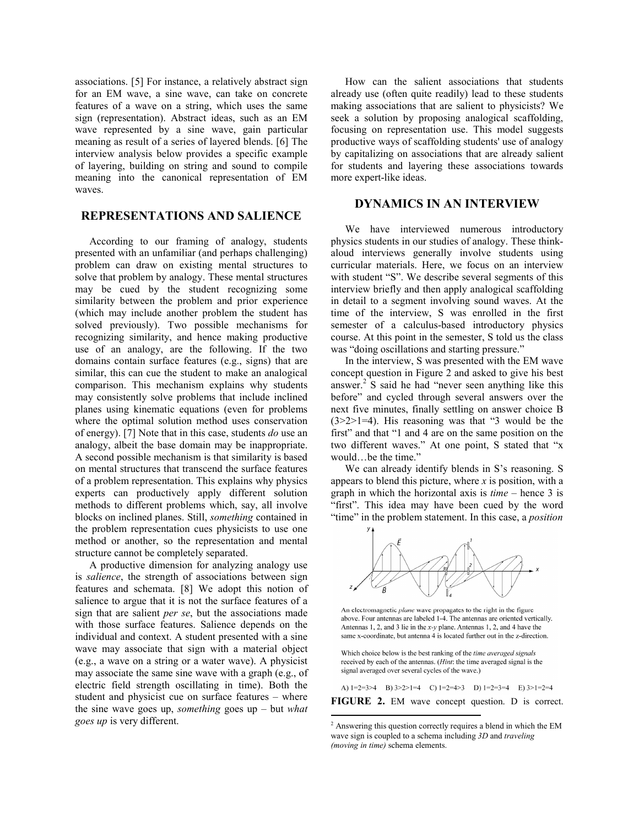associations. [5] For instance, a relatively abstract sign for an EM wave, a sine wave, can take on concrete features of a wave on a string, which uses the same sign (representation). Abstract ideas, such as an EM wave represented by a sine wave, gain particular meaning as result of a series of layered blends. [6] The interview analysis below provides a specific example of layering, building on string and sound to compile meaning into the canonical representation of EM waves.

## REPRESENTATIONS AND SALIENCE

According to our framing of analogy, students presented with an unfamiliar (and perhaps challenging) problem can draw on existing mental structures to solve that problem by analogy. These mental structures may be cued by the student recognizing some similarity between the problem and prior experience (which may include another problem the student has solved previously). Two possible mechanisms for recognizing similarity, and hence making productive use of an analogy, are the following. If the two domains contain surface features (e.g., signs) that are similar, this can cue the student to make an analogical comparison. This mechanism explains why students may consistently solve problems that include inclined planes using kinematic equations (even for problems where the optimal solution method uses conservation of energy). [7] Note that in this case, students do use an analogy, albeit the base domain may be inappropriate. A second possible mechanism is that similarity is based on mental structures that transcend the surface features of a problem representation. This explains why physics experts can productively apply different solution methods to different problems which, say, all involve blocks on inclined planes. Still, something contained in the problem representation cues physicists to use one method or another, so the representation and mental structure cannot be completely separated.

A productive dimension for analyzing analogy use is *salience*, the strength of associations between sign features and schemata. [8] We adopt this notion of salience to argue that it is not the surface features of a sign that are salient per se, but the associations made with those surface features. Salience depends on the individual and context. A student presented with a sine wave may associate that sign with a material object (e.g., a wave on a string or a water wave). A physicist may associate the same sine wave with a graph (e.g., of electric field strength oscillating in time). Both the student and physicist cue on surface features – where the sine wave goes up, something goes up – but what goes up is very different.

How can the salient associations that students already use (often quite readily) lead to these students making associations that are salient to physicists? We seek a solution by proposing analogical scaffolding, focusing on representation use. This model suggests productive ways of scaffolding students' use of analogy by capitalizing on associations that are already salient for students and layering these associations towards more expert-like ideas.

#### DYNAMICS IN AN INTERVIEW

We have interviewed numerous introductory physics students in our studies of analogy. These thinkaloud interviews generally involve students using curricular materials. Here, we focus on an interview with student "S". We describe several segments of this interview briefly and then apply analogical scaffolding in detail to a segment involving sound waves. At the time of the interview, S was enrolled in the first semester of a calculus-based introductory physics course. At this point in the semester, S told us the class was "doing oscillations and starting pressure."

In the interview, S was presented with the EM wave concept question in Figure 2 and asked to give his best answer.<sup>2</sup> S said he had "never seen anything like this before" and cycled through several answers over the next five minutes, finally settling on answer choice B (3>2>1=4). His reasoning was that "3 would be the first" and that "1 and 4 are on the same position on the two different waves." At one point, S stated that "x would…be the time."

We can already identify blends in S's reasoning. S appears to blend this picture, where  $x$  is position, with a graph in which the horizontal axis is  $time -$  hence 3 is "first". This idea may have been cued by the word "time" in the problem statement. In this case, a *position* 



An electromagnetic plane wave propagates to the right in the figure above. Four antennas are labeled 1-4. The antennas are oriented vertically. Antennas 1, 2, and 3 lie in the  $x-y$  plane. Antennas 1, 2, and 4 have the same x-coordinate, but antenna 4 is located further out in the z-direction.

Which choice below is the best ranking of the time averaged signals received by each of the antennas. (Hint: the time averaged signal is the signal averaged over several cycles of the wave.)

A)  $1=2=3>4$  B)  $3>2>1=4$  C)  $1=2=4>3$  D)  $1=2=3=4$  E)  $3>1=2=4$ FIGURE 2. EM wave concept question. D is correct.  $\overline{a}$ 

<sup>&</sup>lt;sup>2</sup> Answering this question correctly requires a blend in which the EM wave sign is coupled to a schema including 3D and traveling (moving in time) schema elements.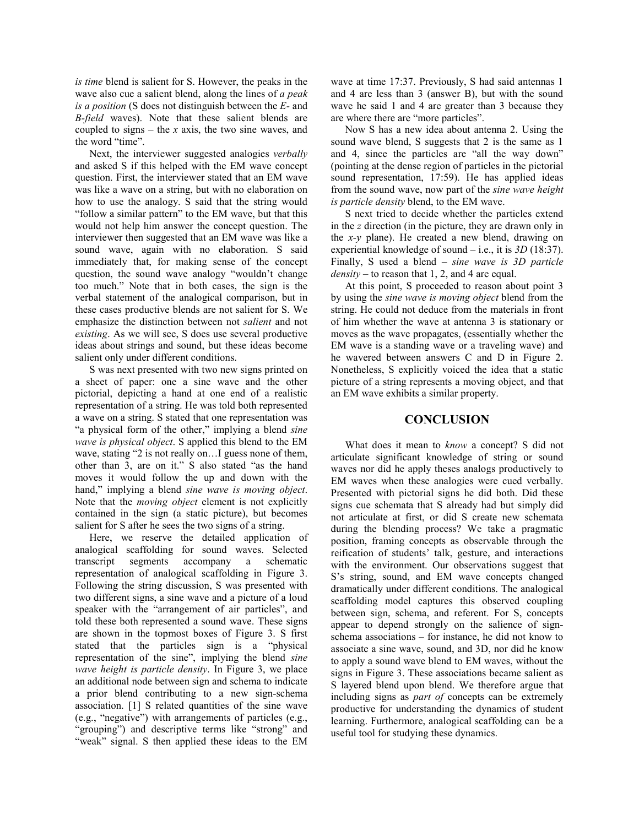is time blend is salient for S. However, the peaks in the wave also cue a salient blend, along the lines of a peak is a position (S does not distinguish between the  $E$ - and B-field waves). Note that these salient blends are coupled to signs – the x axis, the two sine waves, and the word "time".

Next, the interviewer suggested analogies verbally and asked S if this helped with the EM wave concept question. First, the interviewer stated that an EM wave was like a wave on a string, but with no elaboration on how to use the analogy. S said that the string would "follow a similar pattern" to the EM wave, but that this would not help him answer the concept question. The interviewer then suggested that an EM wave was like a sound wave, again with no elaboration. S said immediately that, for making sense of the concept question, the sound wave analogy "wouldn't change too much." Note that in both cases, the sign is the verbal statement of the analogical comparison, but in these cases productive blends are not salient for S. We emphasize the distinction between not salient and not existing. As we will see, S does use several productive ideas about strings and sound, but these ideas become salient only under different conditions.

S was next presented with two new signs printed on a sheet of paper: one a sine wave and the other pictorial, depicting a hand at one end of a realistic representation of a string. He was told both represented a wave on a string. S stated that one representation was "a physical form of the other," implying a blend sine wave is physical object. S applied this blend to the EM wave, stating "2 is not really on…I guess none of them, other than 3, are on it." S also stated "as the hand moves it would follow the up and down with the hand," implying a blend *sine wave is moving object*. Note that the moving object element is not explicitly contained in the sign (a static picture), but becomes salient for S after he sees the two signs of a string.

Here, we reserve the detailed application of analogical scaffolding for sound waves. Selected transcript segments accompany a schematic representation of analogical scaffolding in Figure 3. Following the string discussion, S was presented with two different signs, a sine wave and a picture of a loud speaker with the "arrangement of air particles", and told these both represented a sound wave. These signs are shown in the topmost boxes of Figure 3. S first stated that the particles sign is a "physical representation of the sine", implying the blend sine wave height is particle density. In Figure 3, we place an additional node between sign and schema to indicate a prior blend contributing to a new sign-schema association. [1] S related quantities of the sine wave (e.g., "negative") with arrangements of particles (e.g., "grouping") and descriptive terms like "strong" and "weak" signal. S then applied these ideas to the EM

wave at time 17:37. Previously, S had said antennas 1 and 4 are less than 3 (answer B), but with the sound wave he said 1 and 4 are greater than 3 because they are where there are "more particles".

Now S has a new idea about antenna 2. Using the sound wave blend, S suggests that 2 is the same as 1 and 4, since the particles are "all the way down" (pointing at the dense region of particles in the pictorial sound representation, 17:59). He has applied ideas from the sound wave, now part of the sine wave height is particle density blend, to the EM wave.

S next tried to decide whether the particles extend in the  $z$  direction (in the picture, they are drawn only in the x-y plane). He created a new blend, drawing on experiential knowledge of sound  $-$  i.e., it is 3D (18:37). Finally, S used a blend – sine wave is 3D particle  $density - to reason that 1, 2, and 4 are equal.$ 

At this point, S proceeded to reason about point 3 by using the sine wave is moving object blend from the string. He could not deduce from the materials in front of him whether the wave at antenna 3 is stationary or moves as the wave propagates, (essentially whether the EM wave is a standing wave or a traveling wave) and he wavered between answers C and D in Figure 2. Nonetheless, S explicitly voiced the idea that a static picture of a string represents a moving object, and that an EM wave exhibits a similar property.

## **CONCLUSION**

What does it mean to know a concept? S did not articulate significant knowledge of string or sound waves nor did he apply theses analogs productively to EM waves when these analogies were cued verbally. Presented with pictorial signs he did both. Did these signs cue schemata that S already had but simply did not articulate at first, or did S create new schemata during the blending process? We take a pragmatic position, framing concepts as observable through the reification of students' talk, gesture, and interactions with the environment. Our observations suggest that S's string, sound, and EM wave concepts changed dramatically under different conditions. The analogical scaffolding model captures this observed coupling between sign, schema, and referent. For S, concepts appear to depend strongly on the salience of signschema associations – for instance, he did not know to associate a sine wave, sound, and 3D, nor did he know to apply a sound wave blend to EM waves, without the signs in Figure 3. These associations became salient as S layered blend upon blend. We therefore argue that including signs as part of concepts can be extremely productive for understanding the dynamics of student learning. Furthermore, analogical scaffolding can be a useful tool for studying these dynamics.